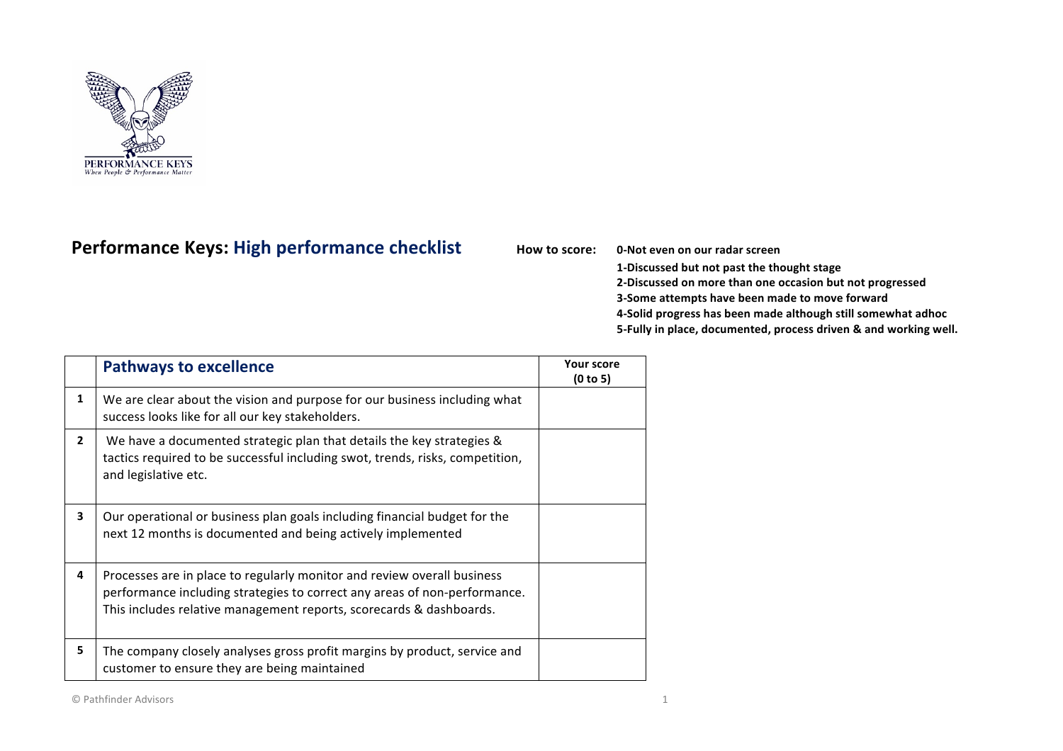

## Performance Keys: High performance checklist How to score: 0-Not even on our radar screen

**1-Discussed but not past the thought stage 2-Discussed on more than one occasion but not progressed 3-Some attempts have been made to move forward 4-Solid progress has been made although still somewhat adhoc 5-Fully in place, documented, process driven & and working well.** 

|              | <b>Pathways to excellence</b>                                                                                                                                                                                               | <b>Your score</b><br>(0 to 5) |
|--------------|-----------------------------------------------------------------------------------------------------------------------------------------------------------------------------------------------------------------------------|-------------------------------|
| 1            | We are clear about the vision and purpose for our business including what<br>success looks like for all our key stakeholders.                                                                                               |                               |
| $\mathbf{2}$ | We have a documented strategic plan that details the key strategies &<br>tactics required to be successful including swot, trends, risks, competition,<br>and legislative etc.                                              |                               |
| 3            | Our operational or business plan goals including financial budget for the<br>next 12 months is documented and being actively implemented                                                                                    |                               |
| 4            | Processes are in place to regularly monitor and review overall business<br>performance including strategies to correct any areas of non-performance.<br>This includes relative management reports, scorecards & dashboards. |                               |
| 5            | The company closely analyses gross profit margins by product, service and<br>customer to ensure they are being maintained                                                                                                   |                               |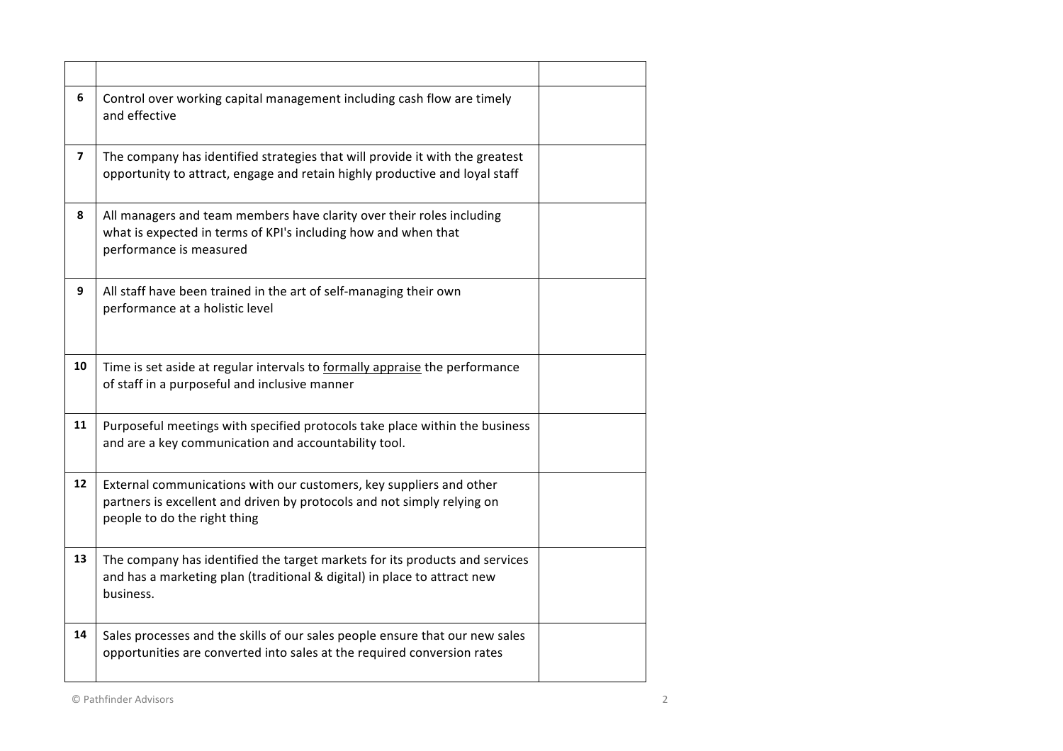| 6                       | Control over working capital management including cash flow are timely<br>and effective                                                                                        |  |
|-------------------------|--------------------------------------------------------------------------------------------------------------------------------------------------------------------------------|--|
| $\overline{\mathbf{z}}$ | The company has identified strategies that will provide it with the greatest<br>opportunity to attract, engage and retain highly productive and loyal staff                    |  |
| 8                       | All managers and team members have clarity over their roles including<br>what is expected in terms of KPI's including how and when that<br>performance is measured             |  |
| 9                       | All staff have been trained in the art of self-managing their own<br>performance at a holistic level                                                                           |  |
| 10                      | Time is set aside at regular intervals to formally appraise the performance<br>of staff in a purposeful and inclusive manner                                                   |  |
| 11                      | Purposeful meetings with specified protocols take place within the business<br>and are a key communication and accountability tool.                                            |  |
| 12                      | External communications with our customers, key suppliers and other<br>partners is excellent and driven by protocols and not simply relying on<br>people to do the right thing |  |
| 13                      | The company has identified the target markets for its products and services<br>and has a marketing plan (traditional & digital) in place to attract new<br>business.           |  |
| 14                      | Sales processes and the skills of our sales people ensure that our new sales<br>opportunities are converted into sales at the required conversion rates                        |  |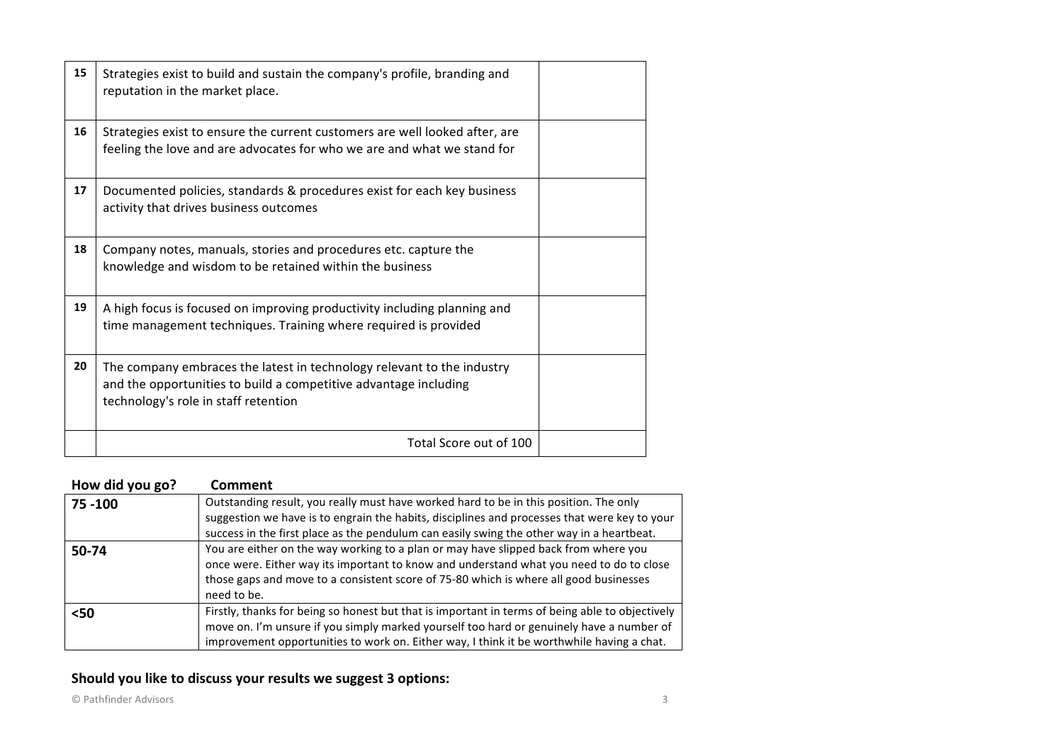| 15 | Strategies exist to build and sustain the company's profile, branding and<br>reputation in the market place.                                                                       |  |
|----|------------------------------------------------------------------------------------------------------------------------------------------------------------------------------------|--|
| 16 | Strategies exist to ensure the current customers are well looked after, are<br>feeling the love and are advocates for who we are and what we stand for                             |  |
| 17 | Documented policies, standards & procedures exist for each key business<br>activity that drives business outcomes                                                                  |  |
| 18 | Company notes, manuals, stories and procedures etc. capture the<br>knowledge and wisdom to be retained within the business                                                         |  |
| 19 | A high focus is focused on improving productivity including planning and<br>time management techniques. Training where required is provided                                        |  |
| 20 | The company embraces the latest in technology relevant to the industry<br>and the opportunities to build a competitive advantage including<br>technology's role in staff retention |  |
|    | Total Score out of 100                                                                                                                                                             |  |

| How did you go? | <b>Comment</b>                                                                                  |
|-----------------|-------------------------------------------------------------------------------------------------|
| 75 - 100        | Outstanding result, you really must have worked hard to be in this position. The only           |
|                 | suggestion we have is to engrain the habits, disciplines and processes that were key to your    |
|                 | success in the first place as the pendulum can easily swing the other way in a heartbeat.       |
| 50-74           | You are either on the way working to a plan or may have slipped back from where you             |
|                 | once were. Either way its important to know and understand what you need to do to close         |
|                 | those gaps and move to a consistent score of 75-80 which is where all good businesses           |
|                 | need to be.                                                                                     |
| $50$            | Firstly, thanks for being so honest but that is important in terms of being able to objectively |
|                 | move on. I'm unsure if you simply marked yourself too hard or genuinely have a number of        |
|                 | improvement opportunities to work on. Either way, I think it be worthwhile having a chat.       |

## Should you like to discuss your results we suggest 3 options: